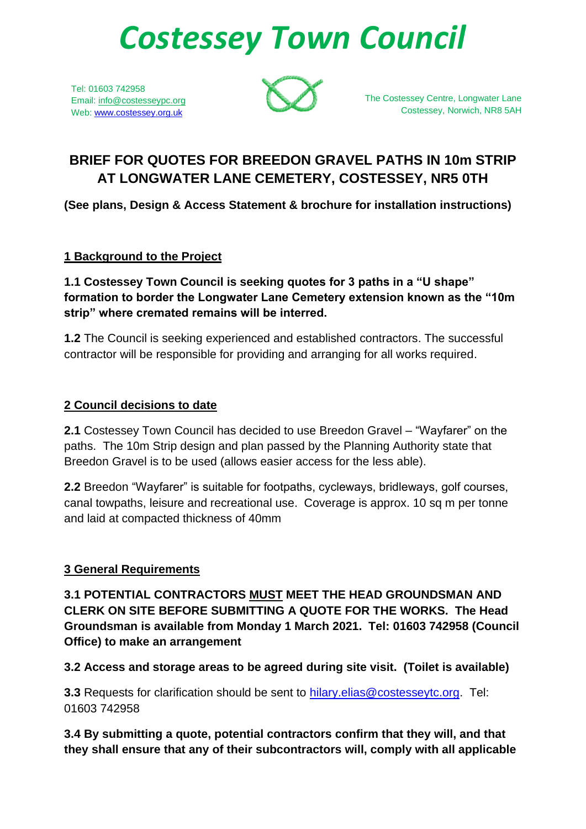# *Costessey Town Council*

Tel: 01603 742958 Email: info@costesseypc.org Web: [www.costessey.org.uk](http://www.costessey.org.uk/)



The Costessey Centre, Longwater Lane Costessey, Norwich, NR8 5AH

# **BRIEF FOR QUOTES FOR BREEDON GRAVEL PATHS IN 10m STRIP AT LONGWATER LANE CEMETERY, COSTESSEY, NR5 0TH**

**(See plans, Design & Access Statement & brochure for installation instructions)**

## **1 Background to the Project**

**1.1 Costessey Town Council is seeking quotes for 3 paths in a "U shape" formation to border the Longwater Lane Cemetery extension known as the "10m strip" where cremated remains will be interred.**

**1.2** The Council is seeking experienced and established contractors. The successful contractor will be responsible for providing and arranging for all works required.

## **2 Council decisions to date**

**2.1** Costessey Town Council has decided to use Breedon Gravel – "Wayfarer" on the paths. The 10m Strip design and plan passed by the Planning Authority state that Breedon Gravel is to be used (allows easier access for the less able).

**2.2** Breedon "Wayfarer" is suitable for footpaths, cycleways, bridleways, golf courses, canal towpaths, leisure and recreational use. Coverage is approx. 10 sq m per tonne and laid at compacted thickness of 40mm

# **3 General Requirements**

**3.1 POTENTIAL CONTRACTORS MUST MEET THE HEAD GROUNDSMAN AND CLERK ON SITE BEFORE SUBMITTING A QUOTE FOR THE WORKS. The Head Groundsman is available from Monday 1 March 2021. Tel: 01603 742958 (Council Office) to make an arrangement** 

**3.2 Access and storage areas to be agreed during site visit. (Toilet is available)**

**3.3** Requests for clarification should be sent to [hilary.elias@costesseytc.org.](mailto:hilary.elias@costesseytc.org) Tel: 01603 742958

**3.4 By submitting a quote, potential contractors confirm that they will, and that they shall ensure that any of their subcontractors will, comply with all applicable**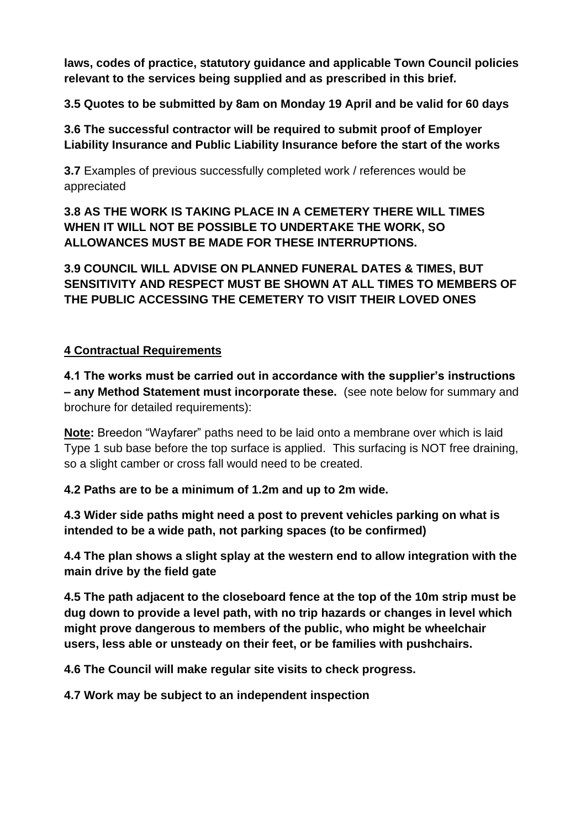**laws, codes of practice, statutory guidance and applicable Town Council policies relevant to the services being supplied and as prescribed in this brief.**

**3.5 Quotes to be submitted by 8am on Monday 19 April and be valid for 60 days**

**3.6 The successful contractor will be required to submit proof of Employer Liability Insurance and Public Liability Insurance before the start of the works**

**3.7** Examples of previous successfully completed work / references would be appreciated

**3.8 AS THE WORK IS TAKING PLACE IN A CEMETERY THERE WILL TIMES WHEN IT WILL NOT BE POSSIBLE TO UNDERTAKE THE WORK, SO ALLOWANCES MUST BE MADE FOR THESE INTERRUPTIONS.** 

**3.9 COUNCIL WILL ADVISE ON PLANNED FUNERAL DATES & TIMES, BUT SENSITIVITY AND RESPECT MUST BE SHOWN AT ALL TIMES TO MEMBERS OF THE PUBLIC ACCESSING THE CEMETERY TO VISIT THEIR LOVED ONES**

#### **4 Contractual Requirements**

**4.1 The works must be carried out in accordance with the supplier's instructions – any Method Statement must incorporate these.** (see note below for summary and brochure for detailed requirements):

**Note:** Breedon "Wayfarer" paths need to be laid onto a membrane over which is laid Type 1 sub base before the top surface is applied. This surfacing is NOT free draining, so a slight camber or cross fall would need to be created.

**4.2 Paths are to be a minimum of 1.2m and up to 2m wide.**

**4.3 Wider side paths might need a post to prevent vehicles parking on what is intended to be a wide path, not parking spaces (to be confirmed)**

**4.4 The plan shows a slight splay at the western end to allow integration with the main drive by the field gate**

**4.5 The path adjacent to the closeboard fence at the top of the 10m strip must be dug down to provide a level path, with no trip hazards or changes in level which might prove dangerous to members of the public, who might be wheelchair users, less able or unsteady on their feet, or be families with pushchairs.**

**4.6 The Council will make regular site visits to check progress.**

**4.7 Work may be subject to an independent inspection**